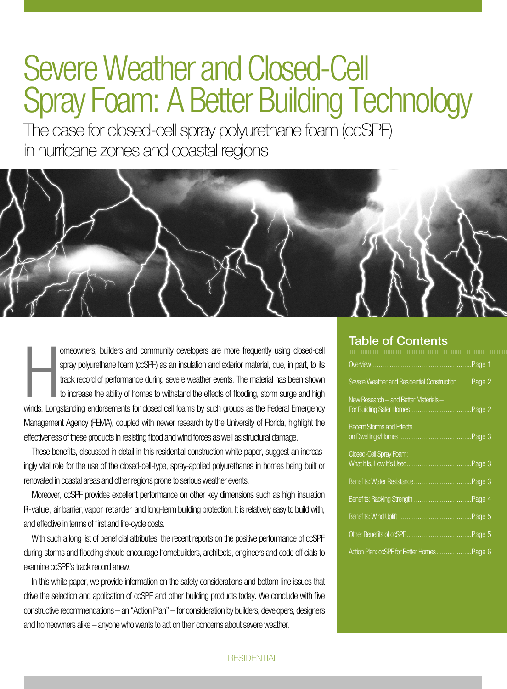## Severe Weather and Closed-Cell Spray Foam: A Better Building Technology

The case for closed-cell spray polyurethane foam (ccSPF) in hurricane zones and coastal regions



 $\frac{1}{\sqrt{2}}$ omeowners, builders and community developers are more frequently using closed-cell spray polyurethane foam (ccSPF) as an insulation and exterior material, due, in part, to its track record of performance during severe weather events. The material has been shown to increase the ability of homes to withstand the effects of flooding, storm surge and high winds. Longstanding endorsements for closed cell foams by such groups as the Federal Emergency Management Agency (FEMA), coupled with newer research by the University of Florida, highlight the effectiveness of these products in resisting flood and wind forces as well as structural damage.

These benefits, discussed in detail in this residential construction white paper, suggest an increasingly vital role for the use of the closed-cell-type, spray-applied polyurethanes in homes being built or renovated in coastal areas and other regions prone to serious weather events.

Moreover, ccSPF provides excellent performance on other key dimensions such as high insulation R-value, air barrier, vapor retarder and long-term building protection. It is relatively easy to build with, and effective in terms of first and life-cycle costs.

With such a long list of beneficial attributes, the recent reports on the positive performance of ccSPF during storms and flooding should encourage homebuilders, architects, engineers and code officials to examine ccSPF's track record anew.

In this white paper, we provide information on the safety considerations and bottom-line issues that drive the selection and application of ccSPF and other building products today. We conclude with five constructive recommendations – an "Action Plan" – for consideration by builders, developers, designers and homeowners alike – anyone who wants to act on their concerns about severe weather.

### Table of Contents

|                                                   | Page 1. |
|---------------------------------------------------|---------|
| Severe Weather and Residential ConstructionPage 2 |         |
| New Research – and Better Materials –             |         |
| <b>Recent Storms and Effects</b>                  |         |
| <b>Closed-Cell Spray Foam:</b>                    |         |
|                                                   |         |
| Benefits: Racking Strength                        | Page 4. |
|                                                   |         |
|                                                   |         |
| Action Plan: ccSPF for Better HomesPage 6         |         |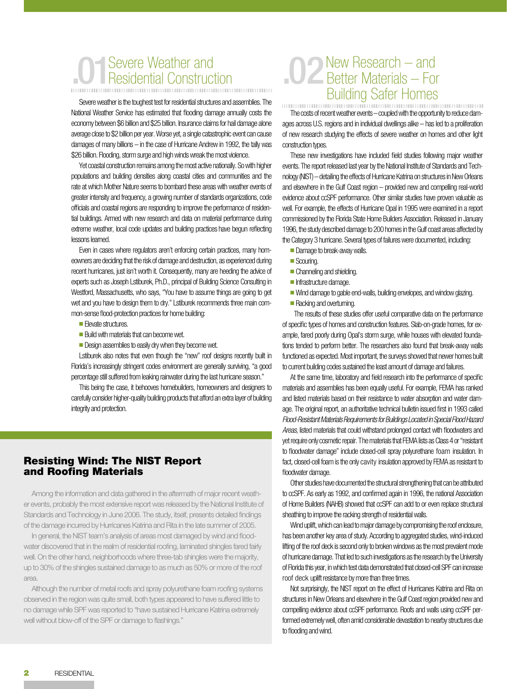# **01** Severe Weather and Residential Construction

Severe weather is the toughest test for residential structures and assemblies. The National Weather Service has estimated that flooding damage annually costs the economy between \$6 billion and \$25 billion. Insurance claims for hail damage alone average close to \$2 billion per year. Worse yet, a single catastrophic event can cause damages of many billions – in the case of Hurricane Andrew in 1992, the tally was \$26 billion. Flooding, storm surge and high winds wreak the most violence.

Yet coastal construction remains among the most active nationally. So with higher populations and building densities along coastal cities and communities and the rate at which Mother Nature seems to bombard these areas with weather events of greater intensity and frequency, a growing number of standards organizations, code officials and coastal regions are responding to improve the performance of residential buildings. Armed with new research and data on material performance during extreme weather, local code updates and building practices have begun reflecting lessons learned.

Even in cases where regulators aren't enforcing certain practices, many homeowners are deciding that the risk of damage and destruction, as experienced during recent hurricanes, just isn't worth it. Consequently, many are heeding the advice of experts such as Joseph Lstiburek, Ph.D., principal of Building Science Consulting in Westford, Massachusetts, who says, "You have to assume things are going to get wet and you have to design them to dry." Lstiburek recommends three main common-sense flood-protection practices for home building:

- Elevate structures.
- Ruild with materials that can become wet.
- $\blacksquare$  Design assemblies to easily dry when they become wet.

Lstiburek also notes that even though the "new" roof designs recently built in Florida's increasingly stringent codes environment are generally surviving, "a good percentage still suffered from leaking rainwater during the last hurricane season."

This being the case, it behooves homebuilders, homeowners and designers to carefully consider higher-quality building products that afford an extra layer of building integrity and protection.

### Resisting Wind: The NIST Report and Roofing Materials

Among the information and data gathered in the aftermath of major recent weather events, probably the most extensive report was released by the National Institute of Standards and Technology in June 2006. The study, itself, presents detailed findings of the damage incurred by Hurricanes Katrina and Rita in the late summer of 2005.

In general, the NIST team's analysis of areas most damaged by wind and floodwater discovered that in the realm of residential roofing, laminated shingles fared fairly well. On the other hand, neighborhoods where three-tab shingles were the majority, up to 30% of the shingles sustained damage to as much as 50% or more of the roof area.

Although the number of metal roofs and spray polyurethane foam roofing systems observed in the region was quite small, both types appeared to have suffered little to no damage while SPF was reported to "have sustained Hurricane Katrina extremely well without blow-off of the SPF or damage to flashings."

## 102 New Research – and<br>Better Materials – For Building Safer Homes

The costs of recent weather events – coupled with the opportunity to reduce damages across U.S. regions and in individual dwellings alike – has led to a proliferation of new research studying the effects of severe weather on homes and other light construction types.

These new investigations have included field studies following major weather events. The report released last year by the National Institute of Standards and Technology (NIST) – detailing the effects of Hurricane Katrina on structures in New Orleans and elsewhere in the Gulf Coast region – provided new and compelling real-world evidence about ccSPF performance. Other similar studies have proven valuable as well. For example, the effects of Hurricane Opal in 1995 were examined in a report commissioned by the Florida State Home Builders Association. Released in January 1996, the study described damage to 200 homes in the Gulf coast areas affected by the Category 3 hurricane. Several types of failures were documented, including:

- **n** Damage to break-away walls.
- Scouring.
- $\blacksquare$  Channeling and shielding.
- Infrastructure damage.
- Wind damage to gable end-walls, building envelopes, and window glazing.
- Racking and overturning.

 The results of these studies offer useful comparative data on the performance of specific types of homes and construction features. Slab-on-grade homes, for example, fared poorly during Opal's storm surge, while houses with elevated foundations tended to perform better. The researchers also found that break-away walls functioned as expected. Most important, the surveys showed that newer homes built to current building codes sustained the least amount of damage and failures.

At the same time, laboratory and field research into the performance of specific materials and assemblies has been equally useful. For example, FEMA has ranked and listed materials based on their resistance to water absorption and water damage. The original report, an authoritative technical bulletin issued first in 1993 called *Flood-Resistant Materials Requirements for Buildings Located in Special Flood Hazard Areas*, listed materials that could withstand prolonged contact with floodwaters and yet require only cosmetic repair. The materials that FEMA lists as Class 4 or "resistant to floodwater damage" include closed-cell spray polyurethane foam insulation. In fact, closed-cell foam is the only cavity insulation approved by FEMA as resistant to floodwater damage.

Other studies have documented the structural strengthening that can be attributed to ccSPF. As early as 1992, and confirmed again in 1996, the national Association of Home Builders (NAHB) showed that ccSPF can add to or even replace structural sheathing to improve the racking strength of residential walls.

Wind uplift, which can lead to major damage by compromising the roof enclosure, has been another key area of study. According to aggregated studies, wind-induced lifting of the roof deck is second only to broken windows as the most prevalent mode of hurricane damage. That led to such investigations as the research by the University of Florida this year, in which test data demonstrated that closed-cell SPF can increase roof deck uplift resistance by more than three times.

Not surprisingly, the NIST report on the effect of Hurricanes Katrina and Rita on structures in New Orleans and elsewhere in the Gulf Coast region provided new and compelling evidence about ccSPF performance. Roofs and walls using ccSPF performed extremely well, often amid considerable devastation to nearby structures due to flooding and wind.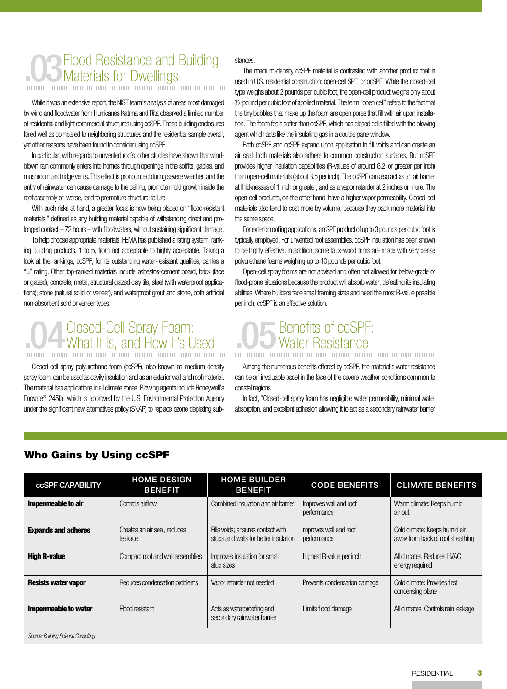## .03 Flood Resistance and Building<br>Materials for Dwellings Materials for Dwellings

While it was an extensive report, the NIST team's analysis of areas most damaged by wind and floodwater from Hurricanes Katrina and Rita observed a limited number of residential and light commercial structures using ccSPF. These building enclosures fared well as compared to neighboring structures and the residential sample overall, yet other reasons have been found to consider using ccSPF.

In particular, with regards to unvented roofs, other studies have shown that windblown rain commonly enters into homes through openings in the soffits, gables, and mushroom and ridge vents. This effect is pronounced during severe weather, and the entry of rainwater can cause damage to the ceiling, promote mold growth inside the roof assembly or, worse, lead to premature structural failure.

With such risks at hand, a greater focus is now being placed on "flood-resistant materials," defined as any building material capable of withstanding direct and prolonged contact – 72 hours – with floodwaters, without sustaining significant damage.

To help choose appropriate materials, FEMA has published a rating system, ranking building products, 1 to 5, from not acceptable to highly acceptable. Taking a look at the rankings, ccSPF, for its outstanding water-resistant qualities, carries a "5" rating. Other top-ranked materials include asbestos-cement board, brick (face or glazed), concrete, metal, structural glazed clay tile, steel (with waterproof applications), stone (natural solid or veneer), and waterproof grout and stone, both artificial non-absorbent solid or veneer types.

# **04 Closed-Cell Spray Foam:**<br>What It Is, and How It's Used

Closed-cell spray polyurethane foam (ccSPF), also known as medium-density spray foam, can be used as cavity insulation and as an exterior wall and roof material. The material has applications in all climate zones. Blowing agents include Honeywell's Enovate® 245fa, which is approved by the U.S. Environmental Protection Agency under the significant new alternatives policy (SNAP) to replace ozone depleting sub-

#### stances.

The medium-density ccSPF material is contrasted with another product that is used in U.S. residential construction: open-cell SPF, or ocSPF. While the closed-cell type weighs about 2 pounds per cubic foot, the open-cell product weighs only about ½-pound per cubic foot of applied material. The term "open cell" refers to the fact that the tiny bubbles that make up the foam are open pores that fill with air upon installation. The foam feels softer than ccSPF, which has closed cells filled with the blowing agent which acts like the insulating gas in a double pane window.

Both ocSPF and ccSPF expand upon application to fill voids and can create an air seal; both materials also adhere to common construction surfaces. But ccSPF provides higher insulation capabilities (R-values of around 6.2 or greater per inch) than open-cell materials (about 3.5 per inch). The ccSPF can also act as an air barrier at thicknesses of 1 inch or greater, and as a vapor retarder at 2 inches or more. The open-cell products, on the other hand, have a higher vapor permeability. Closed-cell materials also tend to cost more by volume, because they pack more material into the same space.

For exterior roofing applications, an SPF product of up to 3 pounds per cubic foot is typically employed. For unvented roof assemblies, ccSPF insulation has been shown to be highly effective. In addition, some faux-wood trims are made with very dense polyurethane foams weighing up to 40 pounds per cubic foot.

Open-cell spray foams are not advised and often not allowed for below-grade or flood-prone situations because the product will absorb water, defeating its insulating abilities. Where builders face small framing sizes and need the most R-value possible per inch, ccSPF is an effective solution.

# .05Benefits of ccSPF: Water Resistance

Among the numerous benefits offered by ccSPF, the material's water resistance can be an invaluable asset in the face of the severe weather conditions common to coastal regions.

In fact, "Closed-cell spray foam has negligible water permeability, minimal water absorption, and excellent adhesion allowing it to act as a secondary rainwater barrier

| <b>CCSPF CAPABILITY</b>             | <b>HOME DESIGN</b><br><b>BENEFIT</b>    | <b>HOME BUILDER</b><br><b>BENEFIT</b>                                      | <b>CODE BENEFITS</b>                  | <b>CLIMATE BENEFITS</b>                                           |
|-------------------------------------|-----------------------------------------|----------------------------------------------------------------------------|---------------------------------------|-------------------------------------------------------------------|
| Impermeable to air                  | Controls airflow                        | Combined insulation and air barrier                                        | Improves wall and roof<br>performance | Warm climate: Keeps humid<br>airout                               |
| <b>Expands and adheres</b>          | Creates an air seal, reduces<br>leakage | Fills voids: ensures contact with<br>studs and walls for better insulation | mproves wall and roof<br>performance  | Cold climate: Keeps humid air<br>away from back of roof sheathing |
| <b>High R-value</b>                 | Compact roof and wall assemblies        | Improves insulation for small<br>stud sizes                                | Highest R-value per inch              | All climates: Reduces HVAC<br>energy required                     |
| <b>Resists water vapor</b>          | Reduces condensation problems           | Vapor retarder not needed                                                  | Prevents condensation damage          | Cold climate: Provides first<br>condensing plane                  |
| <b>Impermeable to water</b>         | Flood resistant                         | Acts as waterproofing and<br>secondary rainwater barrier                   | Limits flood damage                   | All climates: Controls rain leakage                               |
| Source: Building Science Consulting |                                         |                                                                            |                                       |                                                                   |

#### Who Gains by Using ccSPF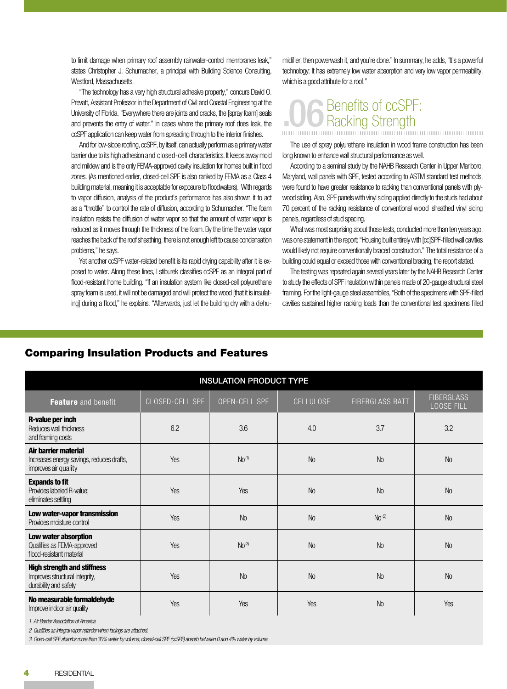to limit damage when primary roof assembly rainwater-control membranes leak," states Christopher J. Schumacher, a principal with Building Science Consulting, Westford, Massachusetts.

"The technology has a very high structural adhesive property," concurs David O. Prevatt, Assistant Professor in the Department of Civil and Coastal Engineering at the University of Florida. "Everywhere there are joints and cracks, the [spray foam] seals and prevents the entry of water." In cases where the primary roof does leak, the ccSPF application can keep water from spreading through to the interior finishes.

And for low-slope roofing, ccSPF, by itself, can actually perform as a primary water barrier due to its high adhesion and closed-cell characteristics. It keeps away mold and mildew and is the only FEMA-approved cavity insulation for homes built in flood zones. (As mentioned earlier, closed-cell SPF is also ranked by FEMA as a Class 4 building material, meaning it is acceptable for exposure to floodwaters). With regards to vapor diffusion, analysis of the product's performance has also shown it to act as a "throttle" to control the rate of diffusion, according to Schumacher. "The foam insulation resists the diffusion of water vapor so that the amount of water vapor is reduced as it moves through the thickness of the foam. By the time the water vapor reaches the back of the roof sheathing, there is not enough left to cause condensation problems," he says.

Yet another ccSPF water-related benefit is its rapid drying capability after it is exposed to water. Along these lines, Lstiburek classifies ccSPF as an integral part of flood-resistant home building. "If an insulation system like closed-cell polyurethane spray foam is used, it will not be damaged and will protect the wood [that it is insulating] during a flood," he explains. "Afterwards, just let the building dry with a dehumidifier, then powerwash it, and you're done." In summary, he adds, "It's a powerful technology: It has extremely low water absorption and very low vapor permeability, which is a good attribute for a roof."

## .06 Benefits of ccSPF: **Racking Strength**

The use of spray polyurethane insulation in wood frame construction has been long known to enhance wall structural performance as well.

According to a seminal study by the NAHB Research Center in Upper Marlboro, Maryland, wall panels with SPF, tested according to ASTM standard test methods, were found to have greater resistance to racking than conventional panels with plywood siding. Also, SPF panels with vinyl siding applied directly to the studs had about 70 percent of the racking resistance of conventional wood sheathed vinyl siding panels, regardless of stud spacing.

What was most surprising about those tests, conducted more than ten years ago, was one statement in the report: "Housing built entirely with [cc]SPF-filled wall cavities would likely not require conventionally braced construction." The total resistance of a building could equal or exceed those with conventional bracing, the report stated.

The testing was repeated again several years later by the NAHB Research Center to study the effects of SPF insulation within panels made of 20-gauge structural steel framing. For the light-gauge steel assemblies, "Both of the specimens with SPF-filled cavities sustained higher racking loads than the conventional test specimens filled

| <b>INSULATION PRODUCT TYPE</b>                                                                |                 |                   |                  |                        |                                        |  |
|-----------------------------------------------------------------------------------------------|-----------------|-------------------|------------------|------------------------|----------------------------------------|--|
| <b>Feature</b> and benefit                                                                    | CLOSED-CELL SPF | OPEN-CELL SPF     | <b>CELLULOSE</b> | <b>FIBERGLASS BATT</b> | <b>FIBERGLASS</b><br><b>LOOSE FILL</b> |  |
| R-value per inch<br>Reduces wall thickness<br>and framing costs                               | 6.2             | 3.6               | 4.0              | 3.7                    | 3.2                                    |  |
| Air barrier material<br>Increases energy savings, reduces drafts,<br>improves air quality     | Yes             | No <sup>(1)</sup> | <b>No</b>        | <b>No</b>              | <b>No</b>                              |  |
| <b>Expands to fit</b><br>Provides labeled R-value;<br>eliminates settling                     | Yes             | Yes               | <b>No</b>        | <b>No</b>              | <b>No</b>                              |  |
| Low water-vapor transmission<br>Provides moisture control                                     | Yes             | No                | <b>No</b>        | No <sup>(2)</sup>      | <b>No</b>                              |  |
| Low water absorption<br>Qualifies as FEMA-approved<br>flood-resistant material                | Yes             | No <sup>(3)</sup> | <b>No</b>        | <b>No</b>              | <b>No</b>                              |  |
| <b>High strength and stiffness</b><br>Improves structural integrity,<br>durability and safety | Yes             | <b>No</b>         | <b>No</b>        | <b>No</b>              | <b>No</b>                              |  |
| No measurable formaldehyde<br>Improve indoor air quality                                      | Yes             | Yes               | Yes              | N <sub>o</sub>         | Yes                                    |  |

### Comparing Insulation Products and Features

*1. Air Barrier Association of America.*

*2. Qualifies as integral vapor retarder when facings are attached.*

*3. Open-cell SPF absorbs more than 30% water by volume; closed-cell SPF (ccSPF) absorb between 0 and 4% water by volume.*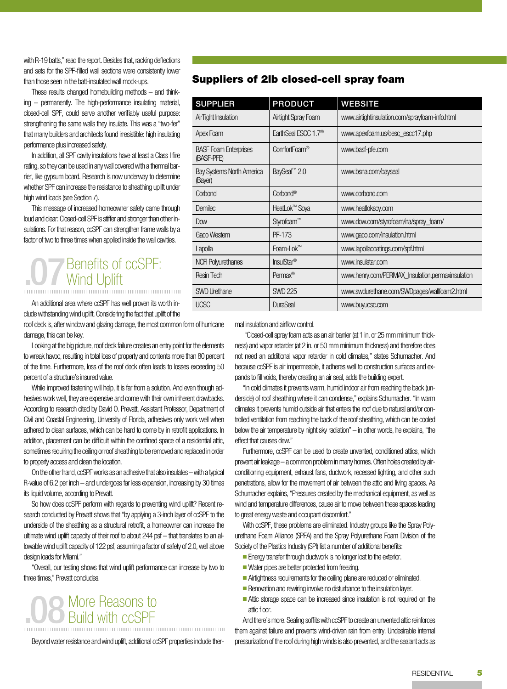with R-19 batts," read the report. Besides that, racking deflections and sets for the SPF-filled wall sections were consistently lower than those seen in the batt-insulated wall mock-ups.

These results changed homebuilding methods – and thinking – permanently. The high-performance insulating material, closed-cell SPF, could serve another verifiably useful purpose: strengthening the same walls they insulate. This was a "two-fer" that many builders and architects found irresistible: high insulating performance plus increased safety.

In addition, all SPF cavity insulations have at least a Class I fire rating, so they can be used in any wall covered with a thermal barrier, like gypsum board. Research is now underway to determine whether SPF can increase the resistance to sheathing uplift under high wind loads (see Section 7).

This message of increased homeowner safety came through loud and clear: Closed-cell SPF is stiffer and stronger than other insulations. For that reason, ccSPF can strengthen frame walls by a factor of two to three times when applied inside the wall cavities.

## **.07** Benefits of ccSPF:<br>Wind Uplift Wind Uplift

An additional area where ccSPF has well proven its worth include withstanding wind uplift. Considering the fact that uplift of the

roof deck is, after window and glazing damage, the most common form of hurricane damage, this can be key.

Looking at the big picture, roof deck failure creates an entry point for the elements to wreak havoc, resulting in total loss of property and contents more than 80 percent of the time. Furthermore, loss of the roof deck often leads to losses exceeding 50 percent of a structure's insured value.

While improved fastening will help, it is far from a solution. And even though adhesives work well, they are expensive and come with their own inherent drawbacks. According to research cited by David O. Prevatt, Assistant Professor, Department of Civil and Coastal Engineering, University of Florida, adhesives only work well when adhered to clean surfaces, which can be hard to come by in retrofit applications. In addition, placement can be difficult within the confined space of a residential attic, sometimes requiring the ceiling or roof sheathing to be removed and replaced in order to properly access and clean the location.

On the other hand, ccSPF works as an adhesive that also insulates – with a typical R-value of 6.2 per inch – and undergoes far less expansion, increasing by 30 times its liquid volume, according to Prevatt.

So how does ccSPF perform with regards to preventing wind uplift? Recent research conducted by Prevatt shows that "by applying a 3-inch layer of ccSPF to the underside of the sheathing as a structural retrofit, a homeowner can increase the ultimate wind uplift capacity of their roof to about 244 psf – that translates to an allowable wind uplift capacity of 122 psf, assuming a factor of safety of 2.0, well above design loads for Miami."

"Overall, our testing shows that wind uplift performance can increase by two to three times," Prevatt concludes.

## **.08** More Reasons to<br> **.08** Build with ccSPF Build with ccSPF

Beyond water resistance and wind uplift, additional ccSPF properties include ther-

### Suppliers of 2lb closed-cell spray foam

| <b>SUPPLIER</b>                             | <b>PRODUCT</b>                  | <b>WEBSITE</b>                                   |
|---------------------------------------------|---------------------------------|--------------------------------------------------|
| <b>AirTight Insulation</b>                  | Airtight Spray Foam             | www.airtightinsulation.com/sprayfoam-info.html   |
| Apex Foam                                   | EarthSeal ESCC 1.7 <sup>®</sup> | www.apexfoam.us/desc_escc17.php                  |
| <b>BASF Foam Enterprises</b><br>(BASF-PFE)  | ComfortFoam®                    | www.basf-pfe.com                                 |
| <b>Bay Systems North America</b><br>(Bayer) | BaySeal <sup>™</sup> 2.0        | www.bsna.com/bayseal                             |
| Corbond                                     | Corbond®                        | www.corbond.com                                  |
| Demilec                                     | HeatLok™ Soya                   | www.heatloksoy.com                               |
| Dow                                         | Styrofoam™                      | www.dow.com/styrofoam/na/spray_foam/             |
| Gaco Western                                | PF-173                          | www.gaco.com/insulation.html                     |
| Lapolla                                     | Foam-Lok™                       | www.lapollacoatings.com/spf.html                 |
| <b>NCFI Polyurethanes</b>                   | InsulStar <sup>®</sup>          | www.insulstar.com                                |
| <b>Resin Tech</b>                           | Permax <sup>®</sup>             | www.henry.com/PERMAX_Insulation.permaxinsulation |
| <b>SWD Urethane</b>                         | <b>SWD 225</b>                  | www.swdurethane.com/SWDpages/wallfoam2.html      |
| <b>UCSC</b>                                 | <b>DuraSeal</b>                 | www.buyucsc.com                                  |

mal insulation and airflow control.

"Closed-cell spray foam acts as an air barrier (at 1 in. or 25 mm minimum thickness) and vapor retarder (at 2 in. or 50 mm minimum thickness) and therefore does not need an additional vapor retarder in cold climates," states Schumacher. And because ccSPF is air impermeable, it adheres well to construction surfaces and expands to fill voids, thereby creating an air seal, adds the building expert.

"In cold climates it prevents warm, humid indoor air from reaching the back (underside) of roof sheathing where it can condense," explains Schumacher. "In warm climates it prevents humid outside air that enters the roof due to natural and/or controlled ventilation from reaching the back of the roof sheathing, which can be cooled below the air temperature by night sky radiation" – in other words, he explains, "the effect that causes dew."

Furthermore, ccSPF can be used to create unvented, conditioned attics, which prevent air leakage – a common problem in many homes. Often holes created by airconditioning equipment, exhaust fans, ductwork, recessed lighting, and other such penetrations, allow for the movement of air between the attic and living spaces. As Schumacher explains, "Pressures created by the mechanical equipment, as well as wind and temperature differences, cause air to move between these spaces leading to great energy waste and occupant discomfort."

With ccSPF, these problems are eliminated. Industry groups like the Spray Polyurethane Foam Alliance (SPFA) and the Spray Polyurethane Foam Division of the Society of the Plastics Industry (SPI) list a number of additional benefits:

**Energy transfer through ductwork is no longer lost to the exterior.** 

- $\blacksquare$  Water pipes are better protected from freezing.
- Airtightness requirements for the ceiling plane are reduced or eliminated.
- Renovation and rewiring involve no disturbance to the insulation layer.
- Attic storage space can be increased since insulation is not required on the attic floor.

And there's more. Sealing soffits with ccSPF to create an unvented attic reinforces them against failure and prevents wind-driven rain from entry. Undesirable internal pressurization of the roof during high winds is also prevented, and the sealant acts as